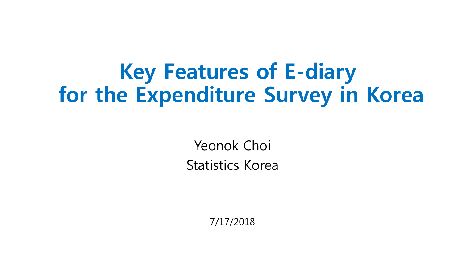# **Key Features of E-diary for the Expenditure Survey in Korea**

Yeonok Choi Statistics Korea

7/17/2018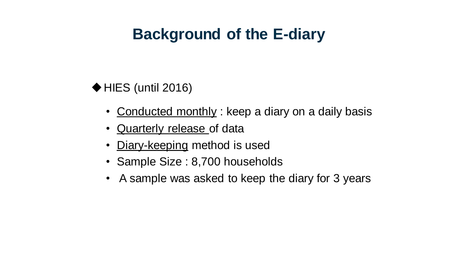## **Background of the E-diary**

 $\blacklozenge$  HIES (until 2016)

- Conducted monthly : keep a diary on a daily basis
- Quarterly release of data
- Diary-keeping method is used
- Sample Size : 8,700 households
- A sample was asked to keep the diary for 3 years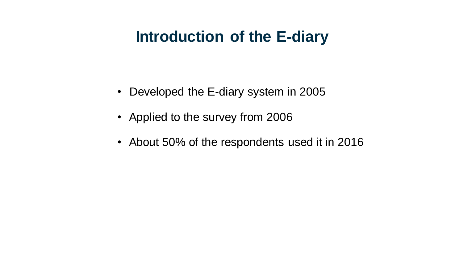## **Introduction of the E-diary**

- Developed the E-diary system in 2005
- Applied to the survey from 2006
- About 50% of the respondents used it in 2016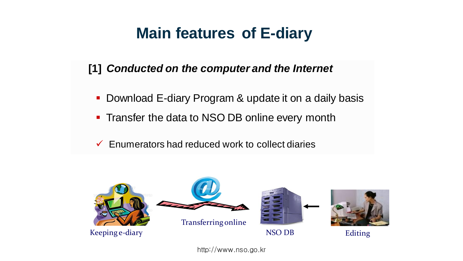## **Main features of E-diary**

#### **[1]** *Conducted on the computer and the Internet*

- **Download E-diary Program & update it on a daily basis**
- **Transfer the data to NSO DB online every month**
- $\checkmark$  Enumerators had reduced work to collect diaries



http://www.nso.go.kr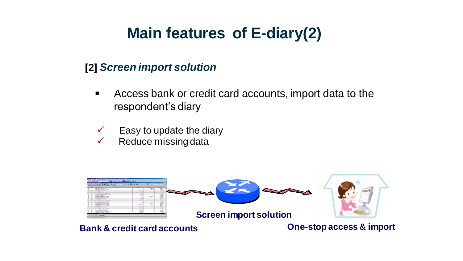## **Main features of E-diary(2)**

#### **[2]** *Screen import solution*

- Access bank or credit card accounts, import data to the respondent's diary
- $\checkmark$  Easy to update the diary
- $\checkmark$  Reduce missing data

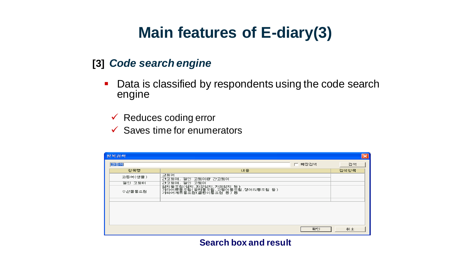## **Main features of E-diary(3)**

#### **[3]** *Code search engine*

- Data is classified by respondents using the code search engine
	- $\checkmark$  Reduces coding error
	- $\checkmark$  Saves time for enumerators

| $\overline{\mathsf{x}}$<br>항목검색 |                                                                                       |      |  |  |  |  |
|---------------------------------|---------------------------------------------------------------------------------------|------|--|--|--|--|
| 고등에                             | 확장검색                                                                                  | 검색   |  |  |  |  |
| 항목명                             | 내용                                                                                    | 검색항목 |  |  |  |  |
| 고등어(생물)                         | 고등어<br>간고등어, 절인 고등어! 간고등어                                                             |      |  |  |  |  |
| 절인 고등어                          | 간고등어,<br>절인 고등어                                                                       |      |  |  |  |  |
| 수산물통조람                          | 침치통조립(침치, 짜장침치, 카레침치 등 )<br>기타어류통조림(꽁치통조림, 고등어톻조림,정어리통조림 등 )<br>기타어개류통조림(골뱅이통조림 등 ) 등 |      |  |  |  |  |
|                                 |                                                                                       |      |  |  |  |  |
|                                 |                                                                                       |      |  |  |  |  |
|                                 |                                                                                       |      |  |  |  |  |
|                                 |                                                                                       |      |  |  |  |  |
|                                 | 확인                                                                                    | 취소   |  |  |  |  |

#### **Search box and result**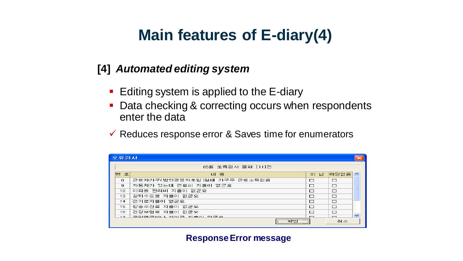## **Main features of E-diary(4)**

#### **[4]** *Automated editing system*

- **Editing system is applied to the E-diary**
- Data checking & correcting occurs when respondents enter the data
- $\checkmark$  Reduces response error & Saves time for enumerators

| 오류검사 |                                 |                             |                          |                          |              |  |
|------|---------------------------------|-----------------------------|--------------------------|--------------------------|--------------|--|
|      |                                 | 05월 오류검사 결과 [11]건           |                          |                          |              |  |
|      | 번<br>室                          | 내 용                         | 미 납                      | 해당없음                     | ∽            |  |
|      | $\Omega$                        | 근로자가구(법인경영자포함)일때 가구주 근로소득없음 | $\Box$                   | $\Box$                   |              |  |
|      | 9.                              | 자동차가 있는데 연료비 지출이 없군요        | $\Box$                   | $\Box$                   |              |  |
|      | 10                              | 아파트 관리비 지출이 없군요             | $\Box$                   | $\Box$                   |              |  |
|      | 13.                             | 상하수도료 지출이 없군요               | $\Box$                   | □                        |              |  |
|      | 14                              | 전기료지출이 없군요                  | $\Box$                   | $\Box$                   |              |  |
|      | 15.                             | 방송수신료 지출이 없군요               | $\Box$                   | $\Box$                   |              |  |
|      | 16.                             | 건강보험료 지출이 없군요               | $\Box$                   | $\Box$                   |              |  |
|      | 17                              | <u> 구마여구하나 기어구 지층히 연구호</u>  | $\overline{\phantom{0}}$ | $\overline{\phantom{0}}$ | $\checkmark$ |  |
|      | <u>ንጅ</u> FOT <sup></sup><br>취소 |                             |                          |                          |              |  |

**Response Error message**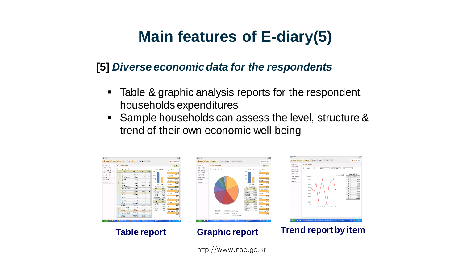## **Main features of E-diary(5)**

#### **[5]** *Diverse economic data for the respondents*

- Table & graphic analysis reports for the respondent households expenditures
- Sample households can assess the level, structure & trend of their own economic well-being







http://www.nso.go.kr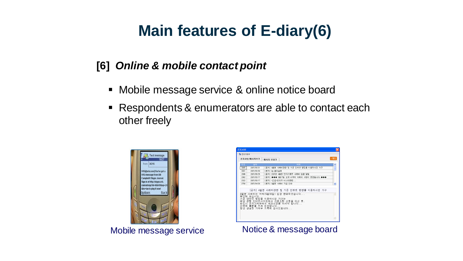## **Main features of E-diary(6)**

#### **[6]** *Online & mobile contact point*

- Mobile message service & online notice board
- Respondents & enumerators are able to contact each other freely





Mobile message service Notice & message board